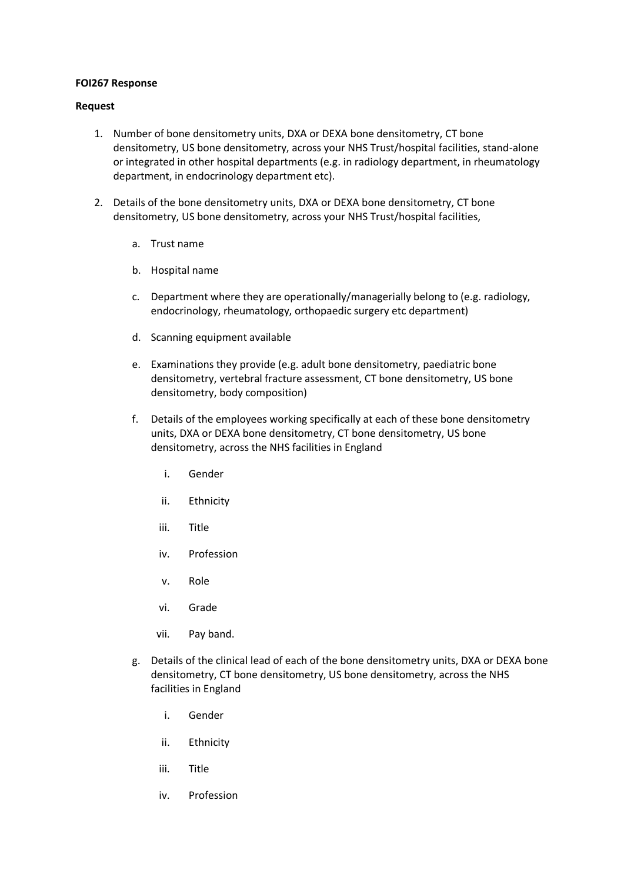## **FOI267 Response**

## **Request**

- 1. Number of bone densitometry units, DXA or DEXA bone densitometry, CT bone densitometry, US bone densitometry, across your NHS Trust/hospital facilities, stand-alone or integrated in other hospital departments (e.g. in radiology department, in rheumatology department, in endocrinology department etc).
- 2. Details of the bone densitometry units, DXA or DEXA bone densitometry, CT bone densitometry, US bone densitometry, across your NHS Trust/hospital facilities,
	- a. Trust name
	- b. Hospital name
	- c. Department where they are operationally/managerially belong to (e.g. radiology, endocrinology, rheumatology, orthopaedic surgery etc department)
	- d. Scanning equipment available
	- e. Examinations they provide (e.g. adult bone densitometry, paediatric bone densitometry, vertebral fracture assessment, CT bone densitometry, US bone densitometry, body composition)
	- f. Details of the employees working specifically at each of these bone densitometry units, DXA or DEXA bone densitometry, CT bone densitometry, US bone densitometry, across the NHS facilities in England
		- i. Gender
		- ii. Ethnicity
		- iii. Title
		- iv. Profession
		- v. Role
		- vi. Grade
		- vii. Pay band.
	- g. Details of the clinical lead of each of the bone densitometry units, DXA or DEXA bone densitometry, CT bone densitometry, US bone densitometry, across the NHS facilities in England
		- i. Gender
		- ii. Ethnicity
		- iii. Title
		- iv. Profession